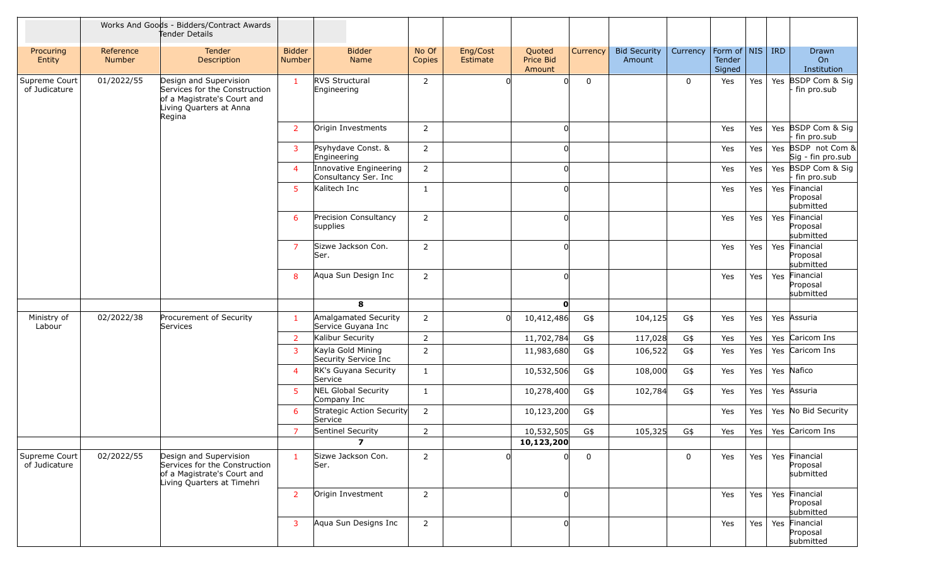|                                |                     | Works And Goods - Bidders/Contract Awards<br>Tender Details                                                                 |                                |                                                |                 |                      |                                      |             |                               |             |                                    |     |     |                                                                          |
|--------------------------------|---------------------|-----------------------------------------------------------------------------------------------------------------------------|--------------------------------|------------------------------------------------|-----------------|----------------------|--------------------------------------|-------------|-------------------------------|-------------|------------------------------------|-----|-----|--------------------------------------------------------------------------|
| Procuring<br>Entity            | Reference<br>Number | <b>Tender</b><br>Description                                                                                                | <b>Bidder</b><br><b>Number</b> | <b>Bidder</b><br>Name                          | No Of<br>Copies | Eng/Cost<br>Estimate | Quoted<br><b>Price Bid</b><br>Amount | Currency    | <b>Bid Security</b><br>Amount | Currency    | Form of NIS RD<br>Tender<br>Signed |     |     | Drawn<br>On<br>Institution                                               |
| Supreme Court<br>of Judicature | 01/2022/55          | Design and Supervision<br>Services for the Construction<br>of a Magistrate's Court and<br>Living Quarters at Anna<br>Regina | $\mathbf{1}$                   | RVS Structural<br>Engineering                  | $\overline{2}$  |                      |                                      | $\mathbf 0$ |                               | 0           | Yes                                | Yes |     | Yes BSDP Com & Sig<br>fin pro.sub                                        |
|                                |                     |                                                                                                                             | $\overline{2}$                 | Origin Investments                             | $\overline{2}$  |                      |                                      |             |                               |             | Yes                                | Yes |     | Yes BSDP Com & Sig<br>fin pro.sub                                        |
|                                |                     |                                                                                                                             | 3                              | Psyhydave Const. &<br>Engineering              | $\overline{2}$  |                      |                                      |             |                               |             | Yes                                | Yes |     | Yes BSDP not Com &<br>$\left  \text{Sig} \right $ - fin pro.sub $\left $ |
|                                |                     |                                                                                                                             | $\boldsymbol{\Delta}$          | Innovative Engineering<br>Consultancy Ser. Inc | $\overline{2}$  |                      |                                      |             |                               |             | Yes                                | Yes |     | Yes BSDP Com & Sig<br>fin pro.sub                                        |
|                                |                     |                                                                                                                             | 5                              | Kalitech Inc                                   | 1               |                      |                                      |             |                               |             | Yes                                | Yes |     | Yes Financial<br>Proposal<br>submitted                                   |
|                                |                     |                                                                                                                             | 6                              | Precision Consultancy<br>supplies              | $\overline{2}$  |                      |                                      |             |                               |             | Yes                                | Yes |     | Yes Financial<br>Proposal<br>submitted                                   |
|                                |                     |                                                                                                                             | $\overline{7}$                 | Sizwe Jackson Con.<br>Ser.                     | $\overline{2}$  |                      |                                      |             |                               |             | Yes                                | Yes | Yes | Financial<br>Proposal<br>submitted                                       |
|                                |                     |                                                                                                                             | 8                              | Aqua Sun Design Inc                            | $\overline{2}$  |                      |                                      |             |                               |             | Yes                                | Yes | Yes | Financial<br>Proposal<br>submitted                                       |
|                                |                     |                                                                                                                             |                                | 8                                              |                 |                      | 0                                    |             |                               |             |                                    |     |     |                                                                          |
| Ministry of<br>Labour          | 02/2022/38          | Procurement of Security<br>Services                                                                                         |                                | Amalgamated Security<br>Service Guyana Inc     | $\overline{2}$  |                      | 10,412,486                           | G\$         | 104,125                       | G\$         | Yes                                | Yes |     | Yes Assuria                                                              |
|                                |                     |                                                                                                                             | $\overline{2}$                 | Kalibur Security                               | $\overline{2}$  |                      | 11,702,784                           | G\$         | 117,028                       | G\$         | Yes                                | Yes |     | Yes Caricom Ins                                                          |
|                                |                     |                                                                                                                             | 3                              | Kayla Gold Mining<br>Security Service Inc      | $\overline{2}$  |                      | 11,983,680                           | G\$         | 106,522                       | G\$         | Yes                                | Yes |     | Yes Caricom Ins                                                          |
|                                |                     |                                                                                                                             | $\overline{a}$                 | RK's Guyana Security<br>Service                | $\mathbf{1}$    |                      | 10,532,506                           | G\$         | 108,000                       | G\$         | Yes                                | Yes |     | Yes Nafico                                                               |
|                                |                     |                                                                                                                             |                                | NEL Global Security<br>Company Inc             | 1               |                      | 10,278,400                           | G\$         | 102,784                       | G\$         | Yes                                | Yes |     | Yes Assuria                                                              |
|                                |                     |                                                                                                                             | 6                              | Strategic Action Security<br>Service           | $\overline{2}$  |                      | 10,123,200                           | G\$         |                               |             | Yes                                | Yes |     | Yes No Bid Security                                                      |
|                                |                     |                                                                                                                             | 7                              | Sentinel Security                              | 2               |                      | 10,532,505                           | G\$         | 105,325                       | G\$         | Yes                                | Yes |     | Yes Caricom Ins                                                          |
|                                |                     |                                                                                                                             |                                | $\overline{ }$                                 |                 |                      | 10,123,200                           |             |                               |             |                                    |     |     |                                                                          |
| Supreme Court<br>of Judicature | 02/2022/55          | Design and Supervision<br>Services for the Construction<br>of a Magistrate's Court and<br>Living Quarters at Timehri        | $\mathbf{1}$                   | Sizwe Jackson Con.<br>Ser.                     | $\overline{2}$  |                      |                                      | $\mathbf 0$ |                               | $\mathbf 0$ | Yes                                | Yes |     | Yes Financial<br>Proposal<br>submitted                                   |
|                                |                     |                                                                                                                             | $\overline{2}$                 | Origin Investment                              | $\overline{2}$  |                      |                                      |             |                               |             | Yes                                | Yes |     | Yes Financial<br>Proposal<br>submitted                                   |
|                                |                     |                                                                                                                             | $\mathbf{3}$                   | Aqua Sun Designs Inc                           | $\overline{2}$  |                      |                                      |             |                               |             | Yes                                | Yes |     | Yes Financial<br>Proposal<br>submitted                                   |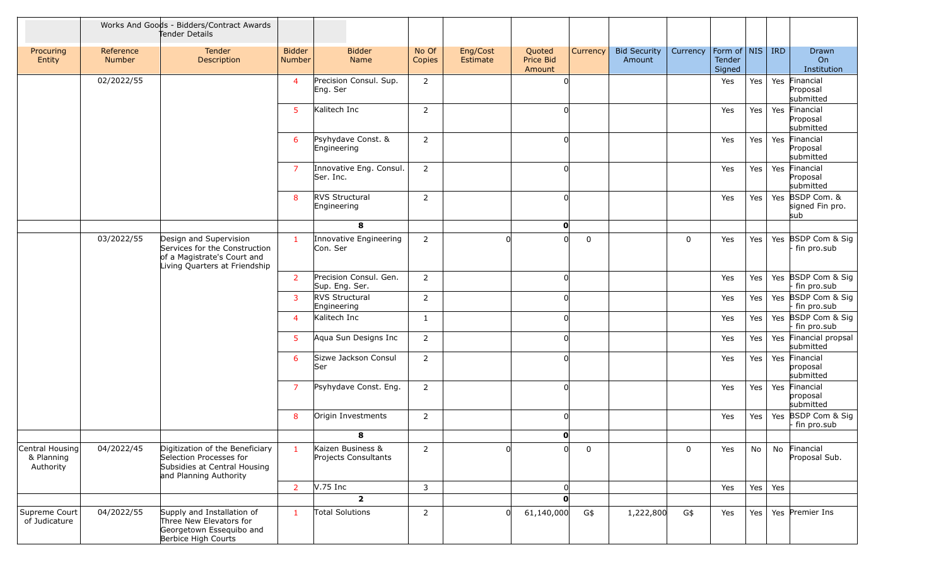|                                            |                     | Works And Goods - Bidders/Contract Awards<br>Tender Details                                                             |                         |                                           |                 |                      |                               |             |                               |             |                                    |     |     |                                           |
|--------------------------------------------|---------------------|-------------------------------------------------------------------------------------------------------------------------|-------------------------|-------------------------------------------|-----------------|----------------------|-------------------------------|-------------|-------------------------------|-------------|------------------------------------|-----|-----|-------------------------------------------|
| Procuring<br>Entity                        | Reference<br>Number | Tender<br>Description                                                                                                   | <b>Bidder</b><br>Number | <b>Bidder</b><br>Name                     | No Of<br>Copies | Eng/Cost<br>Estimate | Quoted<br>Price Bid<br>Amount | Currency    | <b>Bid Security</b><br>Amount | Currency    | Form of NIS RD<br>Tender<br>Signed |     |     | Drawn<br>On<br>Institution                |
|                                            | 02/2022/55          |                                                                                                                         | $\overline{4}$          | Precision Consul. Sup.<br>Eng. Ser        | $\overline{2}$  |                      |                               |             |                               |             | Yes                                | Yes |     | Yes Financial<br>Proposal<br>submitted    |
|                                            |                     |                                                                                                                         | 5                       | Kalitech Inc                              | $\overline{2}$  |                      |                               |             |                               |             | Yes                                | Yes | Yes | Financial<br>Proposal<br>submitted        |
|                                            |                     |                                                                                                                         | 6                       | Psyhydave Const. &<br>Engineering         | $\overline{2}$  |                      |                               |             |                               |             | Yes                                | Yes |     | Yes Financial<br>Proposal<br>submitted    |
|                                            |                     |                                                                                                                         | $\overline{7}$          | Innovative Eng. Consul.<br>Ser. Inc.      | $\overline{2}$  |                      |                               |             |                               |             | Yes                                | Yes | Yes | Financial<br>Proposal<br>submitted        |
|                                            |                     |                                                                                                                         | 8                       | RVS Structural<br>Engineering             | $\overline{2}$  |                      |                               |             |                               |             | Yes                                | Yes |     | Yes BSDP Com. &<br>signed Fin pro.<br>sub |
|                                            |                     |                                                                                                                         |                         | 8                                         |                 |                      | $\mathbf{0}$                  |             |                               |             |                                    |     |     |                                           |
|                                            | 03/2022/55          | Design and Supervision<br>Services for the Construction<br>of a Magistrate's Court and<br>Living Quarters at Friendship | $\mathbf{1}$            | Innovative Engineering<br>Con. Ser        | $\overline{2}$  |                      |                               | $\mathbf 0$ |                               | 0           | Yes                                | Yes |     | Yes BSDP Com & Sig<br>fin pro.sub         |
|                                            |                     |                                                                                                                         | $\overline{2}$          | Precision Consul. Gen.<br>Sup. Eng. Ser.  | $\overline{2}$  |                      |                               |             |                               |             | Yes                                | Yes |     | Yes BSDP Com & Sig<br>fin pro.sub         |
|                                            |                     |                                                                                                                         | $\mathbf{3}$            | <b>RVS Structural</b><br>Engineering      | $\overline{2}$  |                      |                               |             |                               |             | Yes                                | Yes | Yes | BSDP Com & Sig<br>fin pro.sub             |
|                                            |                     |                                                                                                                         | $\overline{4}$          | Kalitech Inc                              | $\mathbf{1}$    |                      |                               |             |                               |             | Yes                                | Yes |     | Yes BSDP Com & Sig<br>fin pro.sub         |
|                                            |                     |                                                                                                                         | -5                      | Aqua Sun Designs Inc                      | $\overline{2}$  |                      |                               |             |                               |             | Yes                                | Yes |     | Yes Financial propsal<br>submitted        |
|                                            |                     |                                                                                                                         | 6                       | Sizwe Jackson Consul<br> Ser              | $\overline{2}$  |                      |                               |             |                               |             | Yes                                | Yes |     | Yes Financial<br>proposal<br>submitted    |
|                                            |                     |                                                                                                                         | $\overline{7}$          | Psyhydave Const. Eng.                     | $\overline{2}$  |                      | U                             |             |                               |             | Yes                                | Yes | Yes | Financial<br>proposal<br>submitted        |
|                                            |                     |                                                                                                                         | 8                       | Origin Investments                        | $\overline{2}$  |                      |                               |             |                               |             | Yes                                | Yes |     | Yes BSDP Com & Sig<br>fin pro.sub         |
|                                            |                     |                                                                                                                         |                         | 8                                         |                 |                      | 0                             |             |                               |             |                                    |     |     |                                           |
| Central Housing<br>& Planning<br>Authority | 04/2022/45          | Digitization of the Beneficiary<br>Selection Processes for<br>Subsidies at Central Housing<br>and Planning Authority    | $\mathbf{1}$            | Kaizen Business &<br>Projects Consultants | $\overline{2}$  |                      | 0l                            | $\mathbf 0$ |                               | $\mathbf 0$ | Yes                                | No  | No  | Financial<br>Proposal Sub.                |
|                                            |                     |                                                                                                                         | $\overline{2}$          | $V.75$ Inc                                | 3               |                      |                               |             |                               |             | Yes                                | Yes | Yes |                                           |
|                                            |                     |                                                                                                                         |                         | $\overline{2}$                            |                 |                      | ŋ                             |             |                               |             |                                    |     |     |                                           |
| Supreme Court<br>of Judicature             | 04/2022/55          | Supply and Installation of<br>Three New Elevators for<br>Georgetown Essequibo and<br>Berbice High Courts                | $\mathbf{1}$            | Total Solutions                           | $\overline{2}$  |                      | 61,140,000                    | G\$         | 1,222,800                     | G\$         | Yes                                | Yes |     | Yes Premier Ins                           |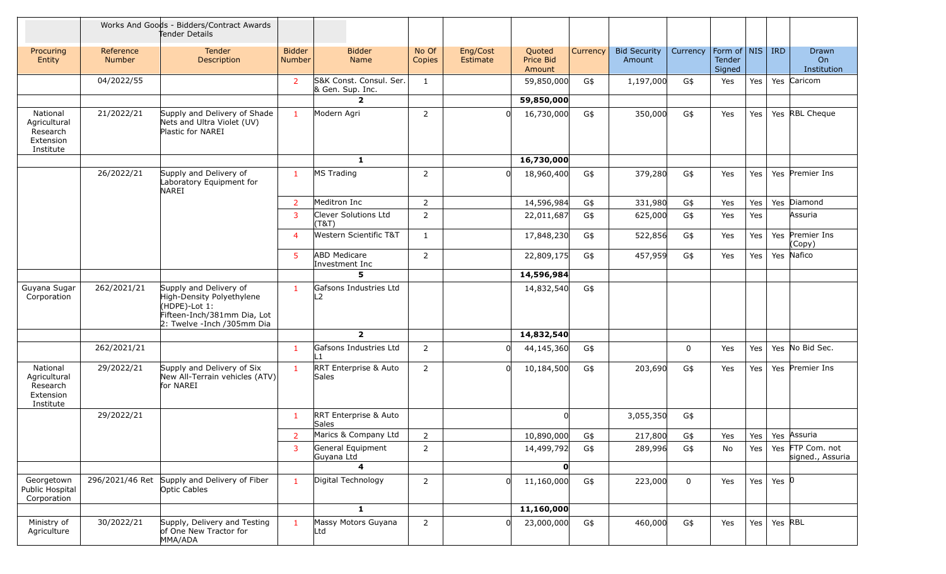|                                                                | Works And Goods - Bidders/Contract Awards<br>Tender Details |                                                                                                                                     |                         |                                             |                 |                      |                               |          |                               |             |                                                     |     |           |                                      |
|----------------------------------------------------------------|-------------------------------------------------------------|-------------------------------------------------------------------------------------------------------------------------------------|-------------------------|---------------------------------------------|-----------------|----------------------|-------------------------------|----------|-------------------------------|-------------|-----------------------------------------------------|-----|-----------|--------------------------------------|
| Procuring<br>Entity                                            | Reference<br><b>Number</b>                                  | Tender<br>Description                                                                                                               | <b>Bidder</b><br>Number | <b>Bidder</b><br>Name                       | No Of<br>Copies | Eng/Cost<br>Estimate | Quoted<br>Price Bid<br>Amount | Currency | <b>Bid Security</b><br>Amount | Currency    | Form of $\vert$ NIS $\vert$ IRD<br>Tender<br>Signed |     |           | Drawn<br><b>On</b><br>Institution    |
|                                                                | 04/2022/55                                                  |                                                                                                                                     | $\overline{2}$          | S&K Const. Consul. Ser.<br>& Gen. Sup. Inc. | $\mathbf{1}$    |                      | 59,850,000                    | G\$      | 1,197,000                     | G\$         | Yes                                                 | Yes |           | Yes Caricom                          |
|                                                                |                                                             |                                                                                                                                     |                         | $\mathbf{2}$                                |                 |                      | 59,850,000                    |          |                               |             |                                                     |     |           |                                      |
| National<br>Agricultural<br>Research<br>Extension<br>Institute | 21/2022/21                                                  | Supply and Delivery of Shade<br>Nets and Ultra Violet (UV)<br>Plastic for NAREI                                                     | $\mathbf{1}$            | Modern Agri                                 | 2               |                      | 16,730,000                    | G\$      | 350,000                       | G\$         | Yes                                                 | Yes |           | Yes RBL Cheque                       |
|                                                                |                                                             |                                                                                                                                     |                         | $\mathbf{1}$                                |                 |                      | 16,730,000                    |          |                               |             |                                                     |     |           |                                      |
|                                                                | 26/2022/21                                                  | Supply and Delivery of<br>Laboratory Equipment for<br><b>NAREI</b>                                                                  | $\mathbf{1}$            | MS Trading                                  | $\overline{2}$  |                      | 18,960,400                    | G\$      | 379,280                       | G\$         | Yes                                                 | Yes |           | Yes Premier Ins                      |
|                                                                |                                                             |                                                                                                                                     | 2                       | Meditron Inc                                | $\overline{2}$  |                      | 14,596,984                    | G\$      | 331,980                       | G\$         | Yes                                                 | Yes |           | Yes Diamond                          |
|                                                                |                                                             |                                                                                                                                     | 3                       | Clever Solutions Ltd<br>(T&T)               | 2               |                      | 22,011,687                    | G\$      | 625,000                       | G\$         | Yes                                                 | Yes |           | Assuria                              |
|                                                                |                                                             |                                                                                                                                     | 4                       | Western Scientific T&T                      | $\mathbf{1}$    |                      | 17,848,230                    | G\$      | 522,856                       | G\$         | Yes                                                 | Yes |           | Yes Premier Ins<br>(Copy)            |
|                                                                |                                                             |                                                                                                                                     | 5                       | <b>ABD Medicare</b><br>Investment Inc       | 2               |                      | 22,809,175                    | G\$      | 457,959                       | G\$         | Yes                                                 | Yes | Yes       | Nafico                               |
|                                                                |                                                             |                                                                                                                                     |                         | 5                                           |                 |                      | 14,596,984                    |          |                               |             |                                                     |     |           |                                      |
| Guyana Sugar<br>Corporation                                    | 262/2021/21                                                 | Supply and Delivery of<br>High-Density Polyethylene<br>(HDPE)-Lot 1:<br>Fifteen-Inch/381mm Dia, Lot<br>2: Twelve - Inch / 305mm Dia | $\mathbf{1}$            | Gafsons Industries Ltd<br>L2                |                 |                      | 14,832,540                    | G\$      |                               |             |                                                     |     |           |                                      |
|                                                                |                                                             |                                                                                                                                     |                         | $\overline{\mathbf{2}}$                     |                 |                      | 14,832,540                    |          |                               |             |                                                     |     |           |                                      |
|                                                                | 262/2021/21                                                 |                                                                                                                                     | $\mathbf{1}$            | Gafsons Industries Ltd<br>L1                | $\overline{2}$  |                      | 44,145,360                    | G\$      |                               | $\mathbf 0$ | Yes                                                 | Yes |           | Yes No Bid Sec.                      |
| National<br>Agricultural<br>Research<br>Extension<br>Institute | 29/2022/21                                                  | Supply and Delivery of Six<br>New All-Terrain vehicles (ATV)<br>for NAREI                                                           | $\mathbf{1}$            | RRT Enterprise & Auto<br>Sales              | $\overline{2}$  | $\Omega$             | 10,184,500                    | G\$      | 203,690                       | G\$         | Yes                                                 | Yes |           | Yes Premier Ins                      |
|                                                                | 29/2022/21                                                  |                                                                                                                                     | $\mathbf{1}$            | RRT Enterprise & Auto<br>Sales              |                 |                      |                               |          | 3,055,350                     | G\$         |                                                     |     |           |                                      |
|                                                                |                                                             |                                                                                                                                     |                         | Marics & Company Ltd                        | $\overline{2}$  |                      | 10,890,000                    | G\$      | 217,800                       | G\$         | Yes                                                 | Yes |           | Yes Assuria                          |
|                                                                |                                                             |                                                                                                                                     | 3                       | General Equipment<br>Guyana Ltd             | $\overline{2}$  |                      | 14,499,792                    | G\$      | 289,996                       | G\$         | No                                                  | Yes |           | Yes FTP Com. not<br>signed., Assuria |
|                                                                |                                                             |                                                                                                                                     |                         | $\overline{\mathbf{4}}$                     |                 |                      | 0                             |          |                               |             |                                                     |     |           |                                      |
| Georgetown<br>Public Hospital<br>Corporation                   | 296/2021/46 Ret                                             | Supply and Delivery of Fiber<br>Optic Cables                                                                                        | $\overline{1}$          | Digital Technology                          | $\overline{2}$  |                      | 11,160,000                    | G\$      | 223,000                       | $\mathbf 0$ | Yes                                                 | Yes | Yes $ 0 $ |                                      |
|                                                                |                                                             |                                                                                                                                     |                         | $\mathbf{1}$                                |                 |                      | 11,160,000                    |          |                               |             |                                                     |     |           |                                      |
| Ministry of<br>Agriculture                                     | 30/2022/21                                                  | Supply, Delivery and Testing<br>of One New Tractor for<br>MMA/ADA                                                                   | $\mathbf{1}$            | Massy Motors Guyana<br>Ltd                  | $\overline{2}$  | $\Omega$             | 23,000,000                    | G\$      | 460,000                       | G\$         | Yes                                                 | Yes | Yes RBL   |                                      |